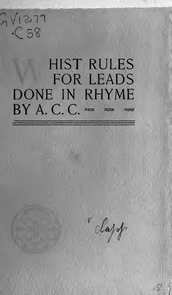# $T(58)$

## **HIST RULES FOR LEADS** DONE IN RHYME  $BY A, C, C \cong$

clapp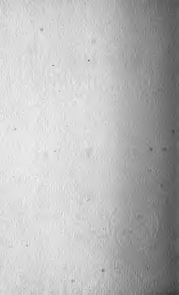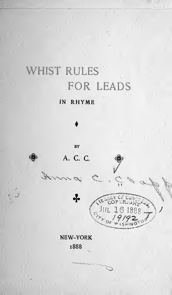### WHIST RULES FOR LEADS

IN RHYME

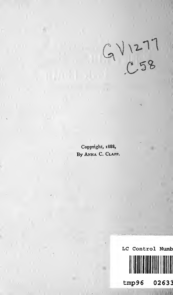$GV1277$ 

Copyright, 1888, By Anna C. Clapp.

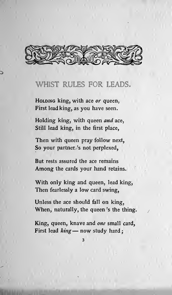

#### WHIST RULES FOR LEADS.

Holding king, with ace or queen, First lead king, as you have seen.

Holding king, with queen and ace, Still lead king, in the first place,

Then with queen pray follow next, So your partner's not perplexed,

But rests assured the ace remains Among the cards your hand retains.

With only king and queen, lead king, Then fearlessly a low card swing.

Unless the ace should fall on king, When, naturally, the queen 's the thing.

King, queen, knave and one small card, First lead  $king$  - now study hard;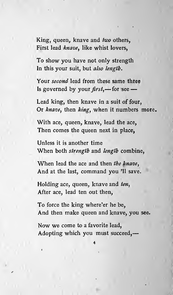King, queen, knave and two others. First lead knave, like whist lovers,

To show you have not only strength In this your suit, but also length.

Your *second* lead from these same three Is governed by your  $\hat{n}$ rst, — for see —

Lead king, then knave in a suit of four. Or knave, then king, when it numbers more.

With ace, queen, knave, lead the ace. Then comes the queen next in place.

Unless it is another time When both *strength* and *length* combine,

When lead the ace and then the knave, And at the last, command you '11 save.

Holding ace, queen, knave and ten, After ace, lead ten out then.

To force the king where'er he be, And then make queen and knave, you see.

Now we come to <sup>a</sup> favorite lead, Adopting which you must succeed,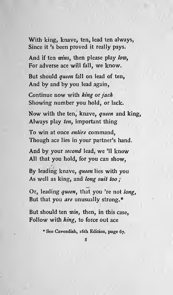With king, knave, ten, lead ten always, Since it 's been proved it really pays.

And if ten wins, then please play low, For adverse ace will fall, we know.

But should queen fall on lead of ten, And by and by you lead again,

Continue now with king or jack Showing number you hold, or lack.

Now with the ten, knave, queen and king, Always play ten, important thing

To win at once entire command, Though ace lies in your partner's hand.

And by your second lead, we 'll know All that you hold, for you can show,

By leading knave, queen lies with you As well as king, and long suit too ;

Or, leading queen, that you 're not long, But that you are unusually strong.\*

But should ten win, then, in this case. Follow with king, to force out ace

\* See Cavendish, i6th Edition, page 67.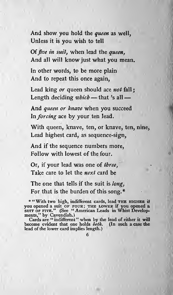And show you hold the *queen* as well, Unless it is you wish to tell

Of five in suit, when lead the queen. And all will know just what you mean.

In other words, to be more plain And to repeat this once again,

Lead king or queen should ace not fall: Length deciding  $which$  — that 's all —

And queen or knave when you succeed In forcing ace by your ten lead.

With queen, knave, ten, or knave, ten, nine, Lead highest card, as sequence-sign.

And if the sequence numbers more, Follow with lowest of the four.

Or, if your lead was one of three, Take care to let the next card be

The one that tells if the suit is long, For that is the burden of this song.\*

\* "With two high, indifferent cards, lead THE HIGHER if you opened a suit OF FOUR; THE LOWER if you opened a SUIT OF FIVE." (See '' American Leads in Whist Develop-

ments," by Cavendish.) Cards are " indifferent" when by the lead of either it will become evident that one holds both. (In such a case the lead of the lower card implies length.

6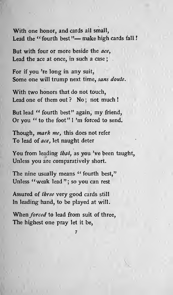With one honor, and cards all small, Lead the " fourth best"— make high cards fall!

But with four or more beside the ace, Lead the ace at once, in such a case;

For if you 're long in any suit, Some one will trump next time, sans doute.

With two honors that do not touch. Lead one of them out ? No; not much !

But lead " fourth best" again, my friend, Or you '' to the foot" <sup>I</sup> 'm forced to send.

Though, mark me, this does not refer To lead of ace, let naught deter

You from leading that, as you 've been taught. Unless you are comparatively short.

The nine usually means " fourth best." Unless "weak lead"; so you can rest

Assured of three very good cards still In leading hand, to be played at will.

When forced to lead from suit of three. The highest one pray let it be,

7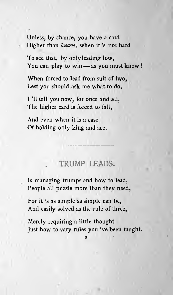Unless, by chance, you have a card Higher than knave, when it's not hard

To see that, by only leading low, You can play to win — as you must know !

When forced to lead from suit of two, Lest you should ask me what to do,

<sup>I</sup> '11 tell you now, for once and all, The higher card is forced to fall,

And even when it is a case Of holding only king and ace.

#### TRUMP LEADS.

In managing trumps and how to lead, People all puzzle more than they need,

For it 's as simple as simple can be, And easily solved as the rule of three,

Merely requiring a little thought Just how to vary rules you 've been taught.

 $\mathbf{Q}$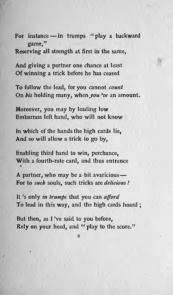For instance — in trumps "play a backward game,"

Reserving all strength at first in the same,

And giving a partner one chance at least Of winning atrick before he has ceased

To follow the lead, for you cannot count On his holding many, when  $\gamma$ ou 've an amount.

Moreover, you may by leading low Embarrass left hand, who will not know

In which of the hands the high cards lie, And so will allow <sup>a</sup> trick to go by,

Enabling third hand to win, perchance, With a fourth-rate card, and thus entrance

<sup>A</sup> partner, who may be <sup>a</sup> bit avaricious — For to such souls, such tricks are delicious!

It 's only in trumps that you can afford To lead in this way, and the high cards hoard ;

But then, as I've said to you before. Rely on your head, and " play to the score."

9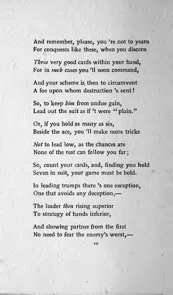And remember, please, you 're not to yearn For conquests like these, when you discern

Three very good cards within your hand. For in *such* cases you 'll soon command.

And your scheme is then to circumvent A foe upon whom destruction 's sent!

So, to keep him from undue gain, Lead out the suit as if 't were " plain."

Or, if you hold as many as six, Beside the ace, you '11 make more tricks

Not to lead low, as the chances are None of the rest can follow you far ;

So, count your cards, and, finding you hold Seven in suit, your game must be bold.

In leading trumps there 's one exception. One that avoids any deception,

The leader then rising superior To strategy of hands inferior.

And showing partner from the first No need to fear the enemy's worst,

 $\overline{a}$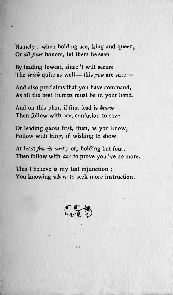Namely : when holding ace, king and queen, Or all four honors, let them be seen

By leading lowest, since 't will secure The trick quite as well — this you are sure —

And also proclaims that you have command, As all the best trumps must be in your hand.

And on this plan, if first lead is knave Then follow with ace, confusion to save.

Or leading queen first, then, as you know. Follow with king, if wishing to show

At least five in suit ; or, holding but four, Then follow with ace to prove you 've no more.

This I believe is my last injunction ; You knowing where to seek more instruction.

 $C^*$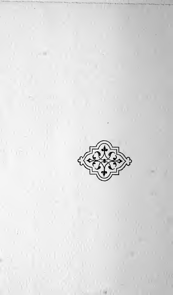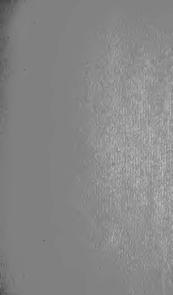